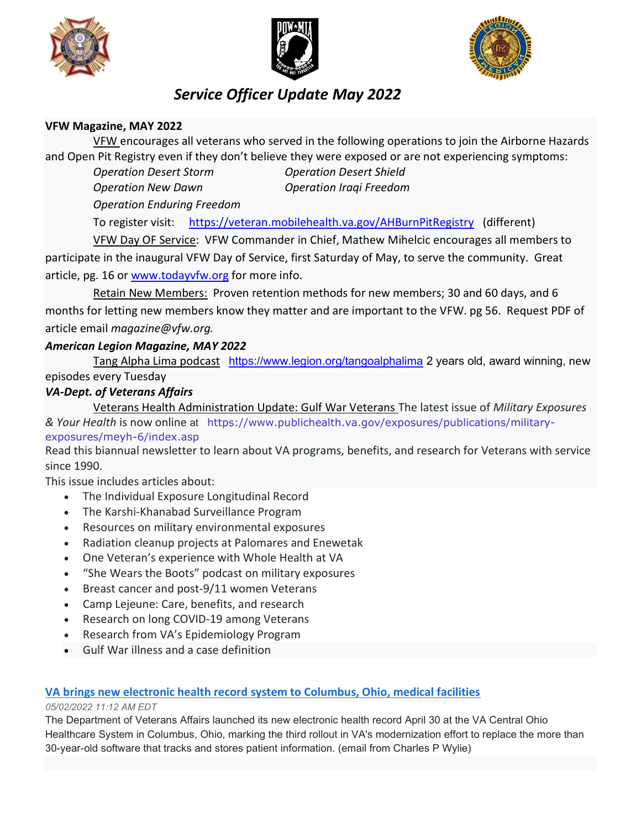





# Service Officer Update May 2022

### VFW Magazine, MAY 2022

 VFW encourages all veterans who served in the following operations to join the Airborne Hazards and Open Pit Registry even if they don't believe they were exposed or are not experiencing symptoms:

Operation Desert Storm Operation Desert Shield

Operation New Dawn Operation Iraqi Freedom

Operation Enduring Freedom

To register visit: https://veteran.mobilehealth.va.gov/AHBurnPitRegistry (different)

 VFW Day OF Service: VFW Commander in Chief, Mathew Mihelcic encourages all members to participate in the inaugural VFW Day of Service, first Saturday of May, to serve the community. Great article, pg. 16 or www.todayvfw.org for more info.

 Retain New Members: Proven retention methods for new members; 30 and 60 days, and 6 months for letting new members know they matter and are important to the VFW. pg 56. Request PDF of article email magazine@vfw.org.

## American Legion Magazine, MAY 2022

Tang Alpha Lima podcast https://www.legion.org/tangoalphalima 2 years old, award winning, new episodes every Tuesday

# VA-Dept. of Veterans Affairs

Veterans Health Administration Update: Gulf War Veterans The latest issue of Military Exposures & Your Health is now online at https://www.publichealth.va.gov/exposures/publications/militaryexposures/meyh-6/index.asp

Read this biannual newsletter to learn about VA programs, benefits, and research for Veterans with service since 1990.

This issue includes articles about:

- The Individual Exposure Longitudinal Record
- The Karshi-Khanabad Surveillance Program
- Resources on military environmental exposures
- Radiation cleanup projects at Palomares and Enewetak
- One Veteran's experience with Whole Health at VA
- "She Wears the Boots" podcast on military exposures
- Breast cancer and post-9/11 women Veterans
- Camp Lejeune: Care, benefits, and research
- Research on long COVID-19 among Veterans
- Research from VA's Epidemiology Program
- Gulf War illness and a case definition

### VA brings new electronic health record system to Columbus, Ohio, medical facilities

#### 05/02/2022 11:12 AM EDT

The Department of Veterans Affairs launched its new electronic health record April 30 at the VA Central Ohio Healthcare System in Columbus, Ohio, marking the third rollout in VA's modernization effort to replace the more than 30-year-old software that tracks and stores patient information. (email from Charles P Wylie)